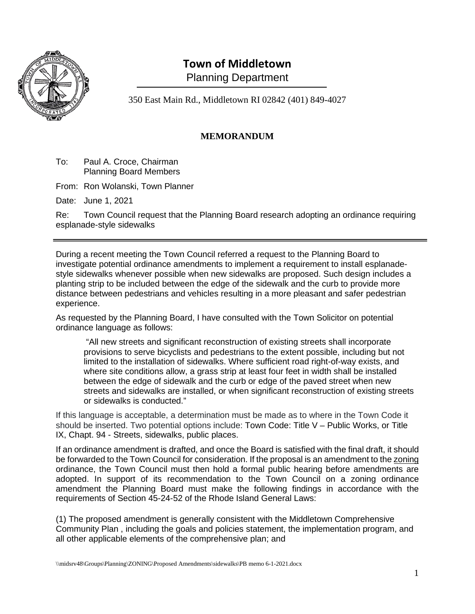

## **Town of Middletown** Planning Department

350 East Main Rd., Middletown RI 02842 (401) 849-4027

## **MEMORANDUM**

To: Paul A. Croce, Chairman Planning Board Members

From: Ron Wolanski, Town Planner

Date: June 1, 2021

Re: Town Council request that the Planning Board research adopting an ordinance requiring esplanade-style sidewalks

During a recent meeting the Town Council referred a request to the Planning Board to investigate potential ordinance amendments to implement a requirement to install esplanadestyle sidewalks whenever possible when new sidewalks are proposed. Such design includes a planting strip to be included between the edge of the sidewalk and the curb to provide more distance between pedestrians and vehicles resulting in a more pleasant and safer pedestrian experience.

As requested by the Planning Board, I have consulted with the Town Solicitor on potential ordinance language as follows:

"All new streets and significant reconstruction of existing streets shall incorporate provisions to serve bicyclists and pedestrians to the extent possible, including but not limited to the installation of sidewalks. Where sufficient road right-of-way exists, and where site conditions allow, a grass strip at least four feet in width shall be installed between the edge of sidewalk and the curb or edge of the paved street when new streets and sidewalks are installed, or when significant reconstruction of existing streets or sidewalks is conducted."

If this language is acceptable, a determination must be made as to where in the Town Code it should be inserted. Two potential options include: Town Code: Title V – Public Works, or Title IX, Chapt. 94 - Streets, sidewalks, public places.

If an ordinance amendment is drafted, and once the Board is satisfied with the final draft, it should be forwarded to the Town Council for consideration. If the proposal is an amendment to the zoning ordinance, the Town Council must then hold a formal public hearing before amendments are adopted. In support of its recommendation to the Town Council on a zoning ordinance amendment the Planning Board must make the following findings in accordance with the requirements of Section 45-24-52 of the Rhode Island General Laws:

(1) The proposed amendment is generally consistent with the Middletown Comprehensive Community Plan , including the goals and policies statement, the implementation program, and all other applicable elements of the comprehensive plan; and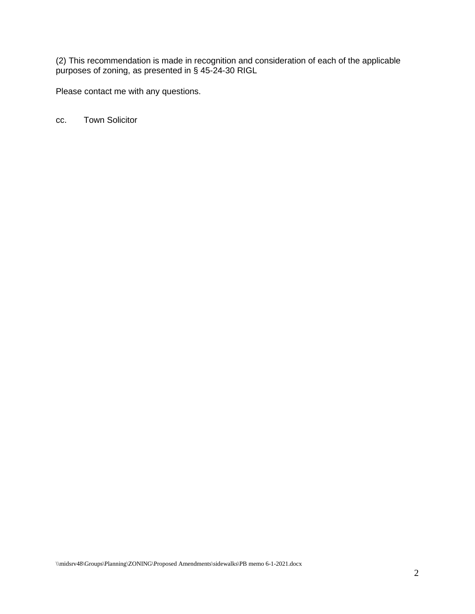(2) This recommendation is made in recognition and consideration of each of the applicable purposes of zoning, as presented in § 45-24-30 RIGL

Please contact me with any questions.

cc. Town Solicitor